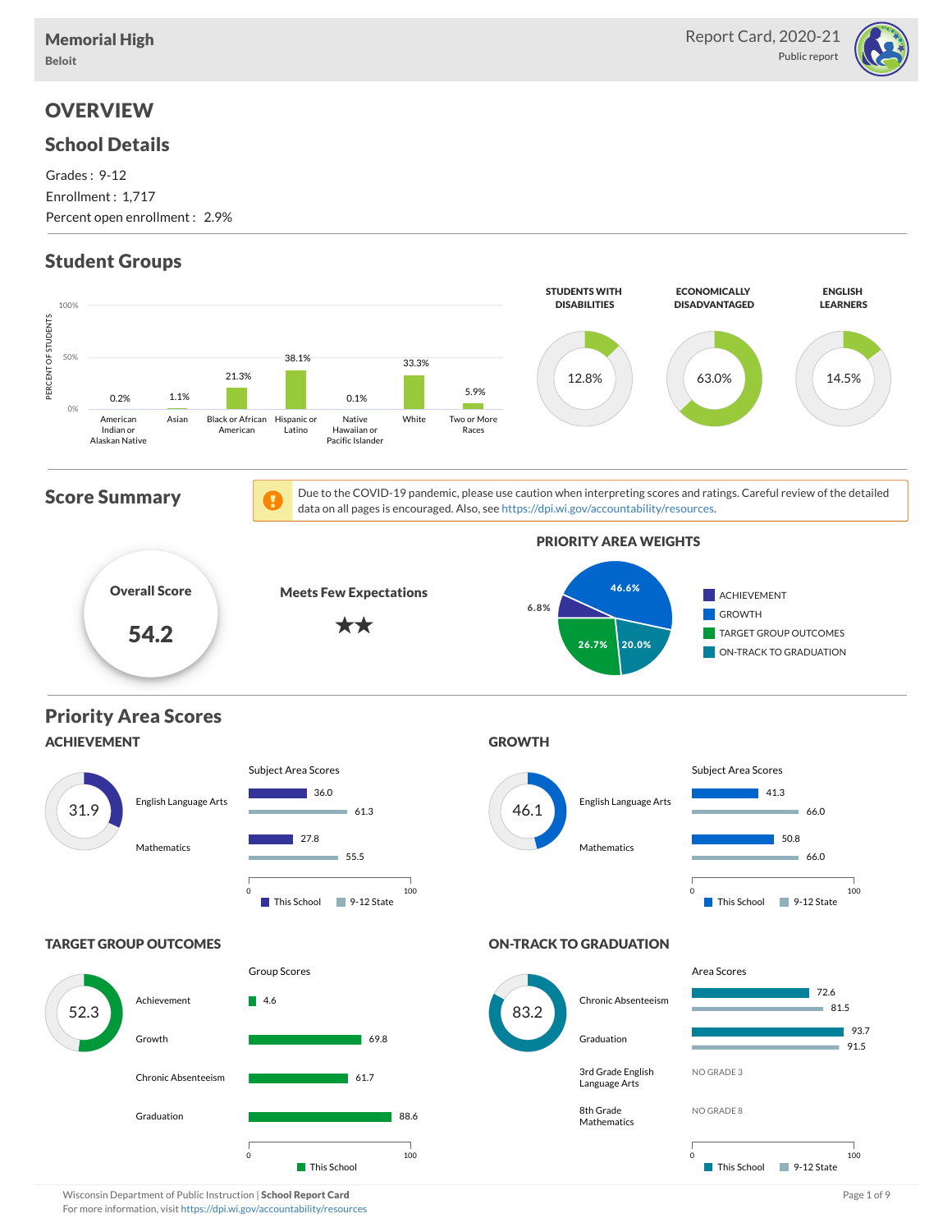

# **OVERVIEW**

### School Details

Grades : 9-12 Enrollment : 1,717 Percent open enrollment : 2.9%

# Student Groups



Wisconsin Department of Public Instruction | School Report Card Page 1 of 9 and Page 1 of 9 and Page 1 of 9 and Page 1 of 9 and Page 1 of 9 and Page 1 of 9 and Page 1 of 9 and Page 1 of 9 and Page 1 of 9 and Page 1 of 9 an For more information, visit <https://dpi.wi.gov/accountability/resources>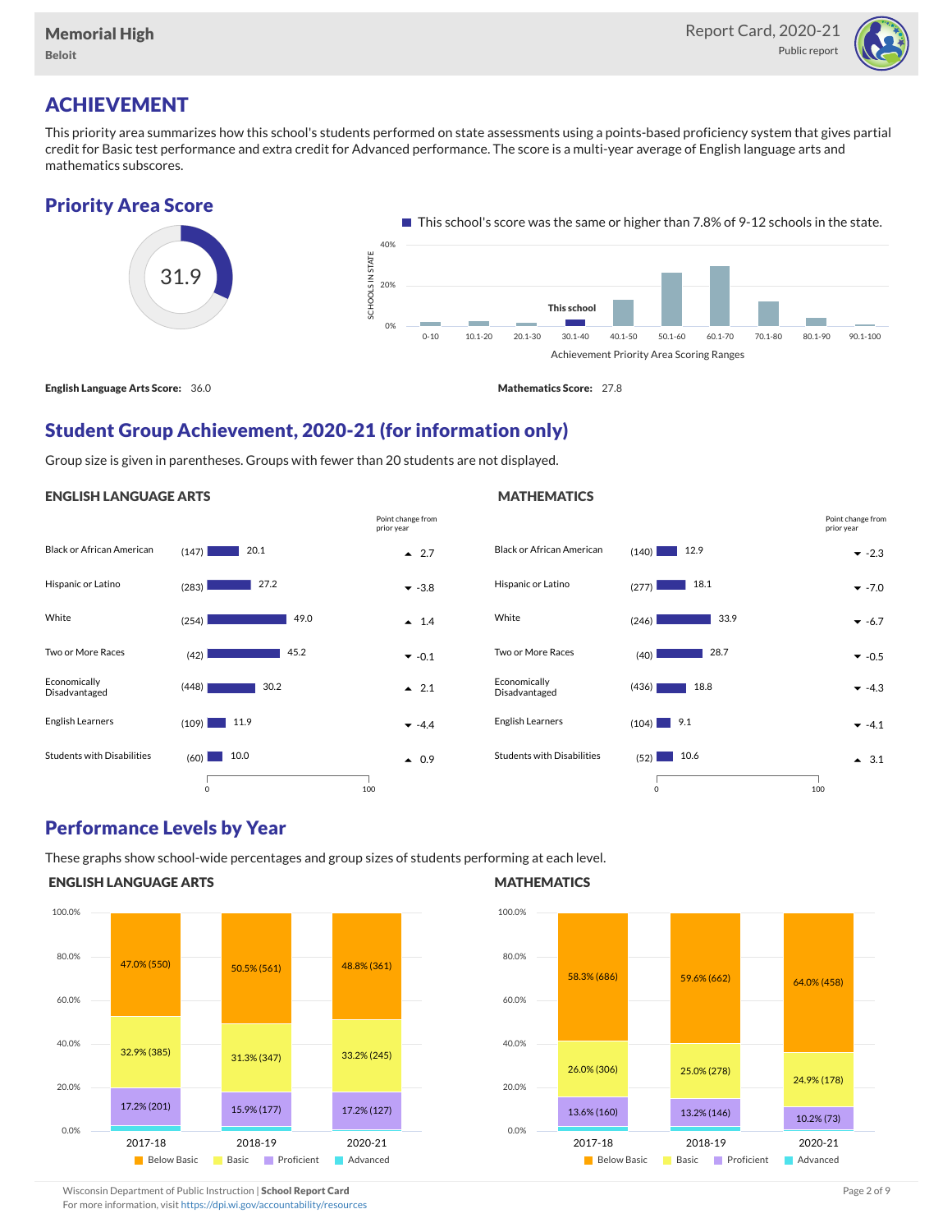

# ACHIEVEMENT

This priority area summarizes how this school's students performed on state assessments using a points-based proficiency system that gives partial credit for Basic test performance and extra credit for Advanced performance. The score is a multi-year average of English language arts and mathematics subscores.

### Priority Area Score



## Student Group Achievement, 2020-21 (for information only)

Group size is given in parentheses. Groups with fewer than 20 students are not displayed.

### ENGLISH LANGUAGE ARTS





### Performance Levels by Year

These graphs show school-wide percentages and group sizes of students performing at each level.

### ENGLISH LANGUAGE ARTS



### **MATHEMATICS**



Wisconsin Department of Public Instruction | School Report Card Page 2 of 9 and 2 of 9 and 2 of 9 and 2 of 9 and 2 of 9 and 2 of 9 and 2 of 9 and 2 of 9 and 2 of 9 and 2 of 9 and 2 of 9 and 2 of 9 and 2 of 9 and 2 of 9 and

For more information, visit <https://dpi.wi.gov/accountability/resources>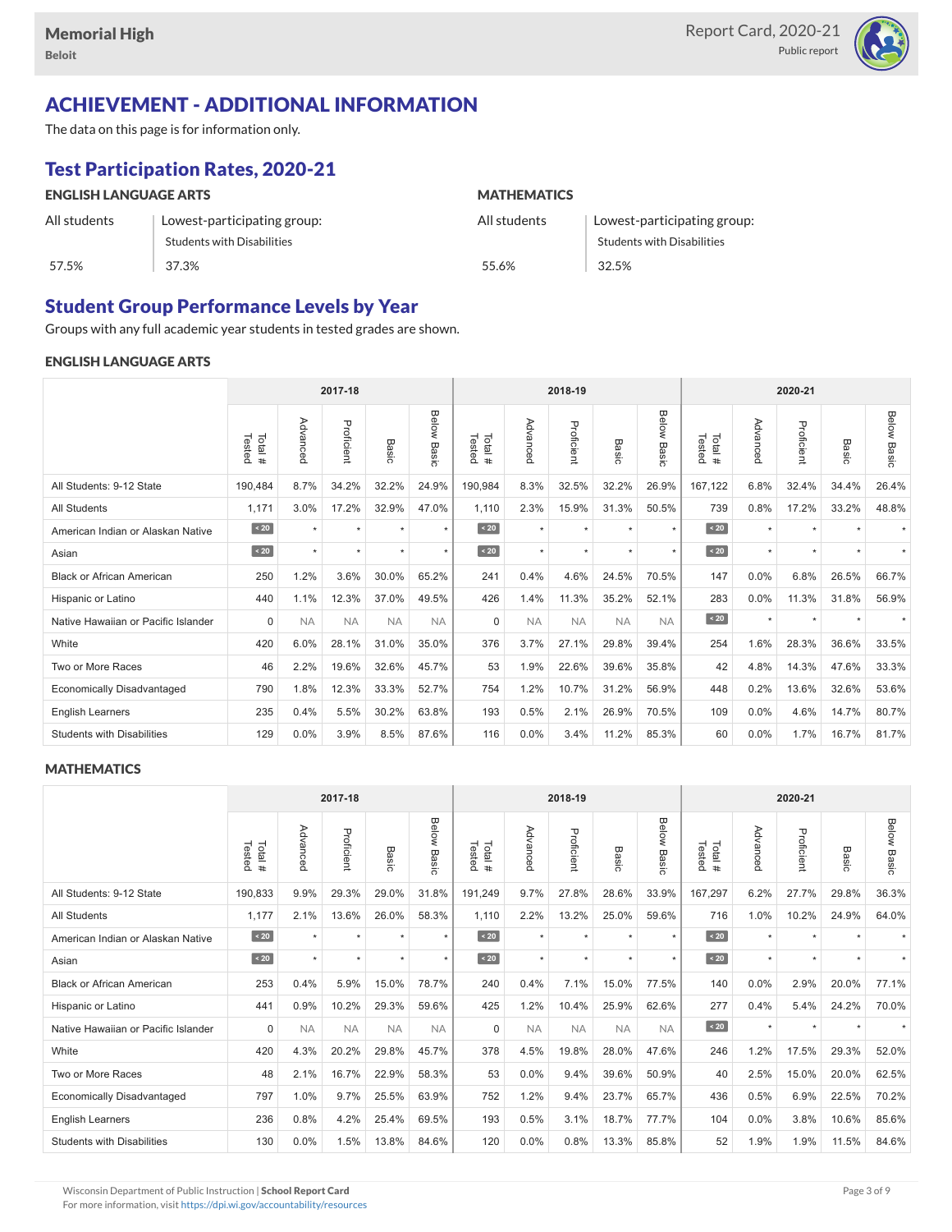

# ACHIEVEMENT - ADDITIONAL INFORMATION

The data on this page is for information only.

# Test Participation Rates, 2020-21

| <b>ENGLISH LANGUAGE ARTS</b> |                                   | <b>MATHEMATICS</b> |                                   |  |  |  |  |
|------------------------------|-----------------------------------|--------------------|-----------------------------------|--|--|--|--|
| All students                 | Lowest-participating group:       | All students       | Lowest-participating group:       |  |  |  |  |
|                              | <b>Students with Disabilities</b> |                    | <b>Students with Disabilities</b> |  |  |  |  |
| 57.5%                        | 37.3%                             | 55.6%              | 32.5%                             |  |  |  |  |

### Student Group Performance Levels by Year

Groups with any full academic year students in tested grades are shown.

### ENGLISH LANGUAGE ARTS

|                                     |                  | 2017-18   |            |           |                |                  | 2018-19   |            |                  |                | 2020-21          |          |            |                          |                    |
|-------------------------------------|------------------|-----------|------------|-----------|----------------|------------------|-----------|------------|------------------|----------------|------------------|----------|------------|--------------------------|--------------------|
|                                     | Total#<br>Tested | Advanced  | Proficient | Basic     | Below<br>Basic | Tested<br>Total# | Advancec  | Proficient | Basi<br>$\Omega$ | Below<br>Basic | Tested<br>Total# | Advancec | Proficient | Basic                    | <b>Below Basic</b> |
| All Students: 9-12 State            | 190,484          | 8.7%      | 34.2%      | 32.2%     | 24.9%          | 190,984          | 8.3%      | 32.5%      | 32.2%            | 26.9%          | 167,122          | 6.8%     | 32.4%      | 34.4%                    | 26.4%              |
| <b>All Students</b>                 | 1,171            | 3.0%      | 17.2%      | 32.9%     | 47.0%          | 1,110            | 2.3%      | 15.9%      | 31.3%            | 50.5%          | 739              | 0.8%     | 17.2%      | 33.2%                    | 48.8%              |
| American Indian or Alaskan Native   | $\sim 20$        | $\star$   | $\star$    | ٠         | $\star$        | $\sim 20$        | $\star$   | $\star$    | $\star$          | $\star$        | $\vert$ < 20     | $\star$  | $\star$    |                          |                    |
| Asian                               | $\sim 20$        |           | $\star$    |           | $\star$        | $\angle 20$      | $\star$   | $\star$    |                  | $\star$        | $\angle 20$      | $\star$  | $\star$    |                          |                    |
| <b>Black or African American</b>    | 250              | 1.2%      | 3.6%       | 30.0%     | 65.2%          | 241              | 0.4%      | 4.6%       | 24.5%            | 70.5%          | 147              | 0.0%     | 6.8%       | 26.5%                    | 66.7%              |
| Hispanic or Latino                  | 440              | 1.1%      | 12.3%      | 37.0%     | 49.5%          | 426              | 1.4%      | 11.3%      | 35.2%            | 52.1%          | 283              | 0.0%     | 11.3%      | 31.8%                    | 56.9%              |
| Native Hawaiian or Pacific Islander | $\Omega$         | <b>NA</b> | <b>NA</b>  | <b>NA</b> | <b>NA</b>      | $\Omega$         | <b>NA</b> | <b>NA</b>  | <b>NA</b>        | <b>NA</b>      | $\angle 20$      | $\star$  | $\star$    | $\overline{\phantom{a}}$ |                    |
| White                               | 420              | 6.0%      | 28.1%      | 31.0%     | 35.0%          | 376              | 3.7%      | 27.1%      | 29.8%            | 39.4%          | 254              | 1.6%     | 28.3%      | 36.6%                    | 33.5%              |
| Two or More Races                   | 46               | 2.2%      | 19.6%      | 32.6%     | 45.7%          | 53               | 1.9%      | 22.6%      | 39.6%            | 35.8%          | 42               | 4.8%     | 14.3%      | 47.6%                    | 33.3%              |
| <b>Economically Disadvantaged</b>   | 790              | 1.8%      | 12.3%      | 33.3%     | 52.7%          | 754              | 1.2%      | 10.7%      | 31.2%            | 56.9%          | 448              | 0.2%     | 13.6%      | 32.6%                    | 53.6%              |
| <b>English Learners</b>             | 235              | 0.4%      | 5.5%       | 30.2%     | 63.8%          | 193              | 0.5%      | 2.1%       | 26.9%            | 70.5%          | 109              | 0.0%     | 4.6%       | 14.7%                    | 80.7%              |
| <b>Students with Disabilities</b>   | 129              | 0.0%      | 3.9%       | 8.5%      | 87.6%          | 116              | 0.0%      | 3.4%       | 11.2%            | 85.3%          | 60               | 0.0%     | 1.7%       | 16.7%                    | 81.7%              |

### **MATHEMATICS**

|                                     |                   | 2017-18   |            |           |                |                   | 2018-19   |            |            |                       | 2020-21          |          |            |         |                    |
|-------------------------------------|-------------------|-----------|------------|-----------|----------------|-------------------|-----------|------------|------------|-----------------------|------------------|----------|------------|---------|--------------------|
|                                     | Tested<br>Total # | Advanced  | Proficient | Basic     | Below<br>Basic | Total #<br>Tested | Advanced  | Proficient | Bas<br>ਨੌਂ | <b>Below</b><br>Basic | Tested<br>Total# | Advanced | Proficient | Basic   | <b>Below Basic</b> |
| All Students: 9-12 State            | 190,833           | 9.9%      | 29.3%      | 29.0%     | 31.8%          | 191,249           | 9.7%      | 27.8%      | 28.6%      | 33.9%                 | 167,297          | 6.2%     | 27.7%      | 29.8%   | 36.3%              |
| <b>All Students</b>                 | 1,177             | 2.1%      | 13.6%      | 26.0%     | 58.3%          | 1,110             | 2.2%      | 13.2%      | 25.0%      | 59.6%                 | 716              | 1.0%     | 10.2%      | 24.9%   | 64.0%              |
| American Indian or Alaskan Native   | $\angle 20$       | $\star$   | $\star$    |           | $\star$        | $\angle 20$       | $\star$   | $\star$    | $\star$    | $\star$               | $\sim 20$        | $\star$  | $\star$    |         |                    |
| Asian                               | $\angle 20$       | $\star$   | $\star$    | $\star$   | $\star$        | $\sim 20$         | $\star$   | $\star$    | $\star$    | $\star$               | $\angle 20$      | $\star$  | $\star$    | $\star$ |                    |
| <b>Black or African American</b>    | 253               | 0.4%      | 5.9%       | 15.0%     | 78.7%          | 240               | 0.4%      | 7.1%       | 15.0%      | 77.5%                 | 140              | 0.0%     | 2.9%       | 20.0%   | 77.1%              |
| Hispanic or Latino                  | 441               | 0.9%      | 10.2%      | 29.3%     | 59.6%          | 425               | 1.2%      | 10.4%      | 25.9%      | 62.6%                 | 277              | 0.4%     | 5.4%       | 24.2%   | 70.0%              |
| Native Hawaiian or Pacific Islander | $\Omega$          | <b>NA</b> | <b>NA</b>  | <b>NA</b> | <b>NA</b>      | $\Omega$          | <b>NA</b> | <b>NA</b>  | <b>NA</b>  | <b>NA</b>             | $\overline{20}$  | $\star$  | $\star$    |         |                    |
| White                               | 420               | 4.3%      | 20.2%      | 29.8%     | 45.7%          | 378               | 4.5%      | 19.8%      | 28.0%      | 47.6%                 | 246              | 1.2%     | 17.5%      | 29.3%   | 52.0%              |
| Two or More Races                   | 48                | 2.1%      | 16.7%      | 22.9%     | 58.3%          | 53                | 0.0%      | 9.4%       | 39.6%      | 50.9%                 | 40               | 2.5%     | 15.0%      | 20.0%   | 62.5%              |
| <b>Economically Disadvantaged</b>   | 797               | 1.0%      | 9.7%       | 25.5%     | 63.9%          | 752               | 1.2%      | 9.4%       | 23.7%      | 65.7%                 | 436              | 0.5%     | 6.9%       | 22.5%   | 70.2%              |
| English Learners                    | 236               | 0.8%      | 4.2%       | 25.4%     | 69.5%          | 193               | 0.5%      | 3.1%       | 18.7%      | 77.7%                 | 104              | 0.0%     | 3.8%       | 10.6%   | 85.6%              |
| <b>Students with Disabilities</b>   | 130               | 0.0%      | 1.5%       | 13.8%     | 84.6%          | 120               | 0.0%      | 0.8%       | 13.3%      | 85.8%                 | 52               | 1.9%     | 1.9%       | 11.5%   | 84.6%              |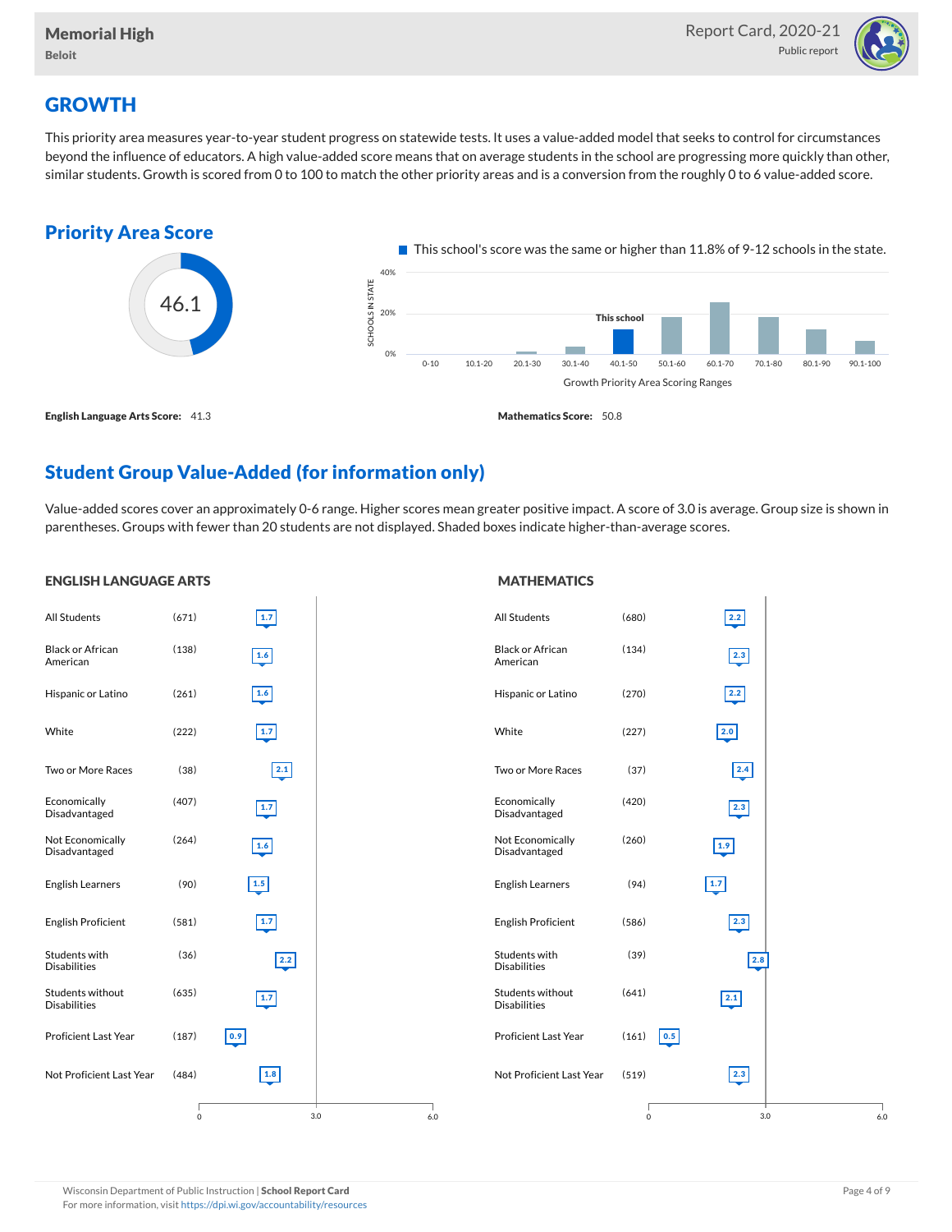

# **GROWTH**

ENGLISH LANGUAGE ARTS

This priority area measures year-to-year student progress on statewide tests. It uses a value-added model that seeks to control for circumstances beyond the influence of educators. A high value-added score means that on average students in the school are progressing more quickly than other, similar students. Growth is scored from 0 to 100 to match the other priority areas and is a conversion from the roughly 0 to 6 value-added score.



# Student Group Value-Added (for information only)

Value-added scores cover an approximately 0-6 range. Higher scores mean greater positive impact. A score of 3.0 is average. Group size is shown in parentheses. Groups with fewer than 20 students are not displayed. Shaded boxes indicate higher-than-average scores.

#### All Students (671) Black or African American (138) Hispanic or Latino (261) White (222) Two or More Races (38) Economically Disadvantaged (407) Not Economically Disadvantaged  $(264)$ English Learners (90) English Proficient (581) Students with Disabilities (36) Students without Disabilities (635) Proficient Last Year (187) Not Proficient Last Year (484) 3.0 1.7 1.6 1.6 1.7 2.1 1.7 1.6 1.5 1.7 2.2 1.7 0.9 1.8 0 6.0 All Students (680) Black or African American (134) Hispanic or Latino (270) White (227) Two or More Races (37) Economically Disadvantaged (420) Not Economically Disadvantaged (260) English Learners (94) English Proficient (586) Students with Disabilities (39) Students without Disabilities (641) Proficient Last Year (161) Not Proficient Last Year (519) 3.0 2.2  $\boxed{2.3}$ 2.2 2.0 2.4 2.3 1.9 1.7 2.3 2.8 2.1  $0.5$ 2.3 0 6.0

For more information, visit <https://dpi.wi.gov/accountability/resources>

# **MATHEMATICS**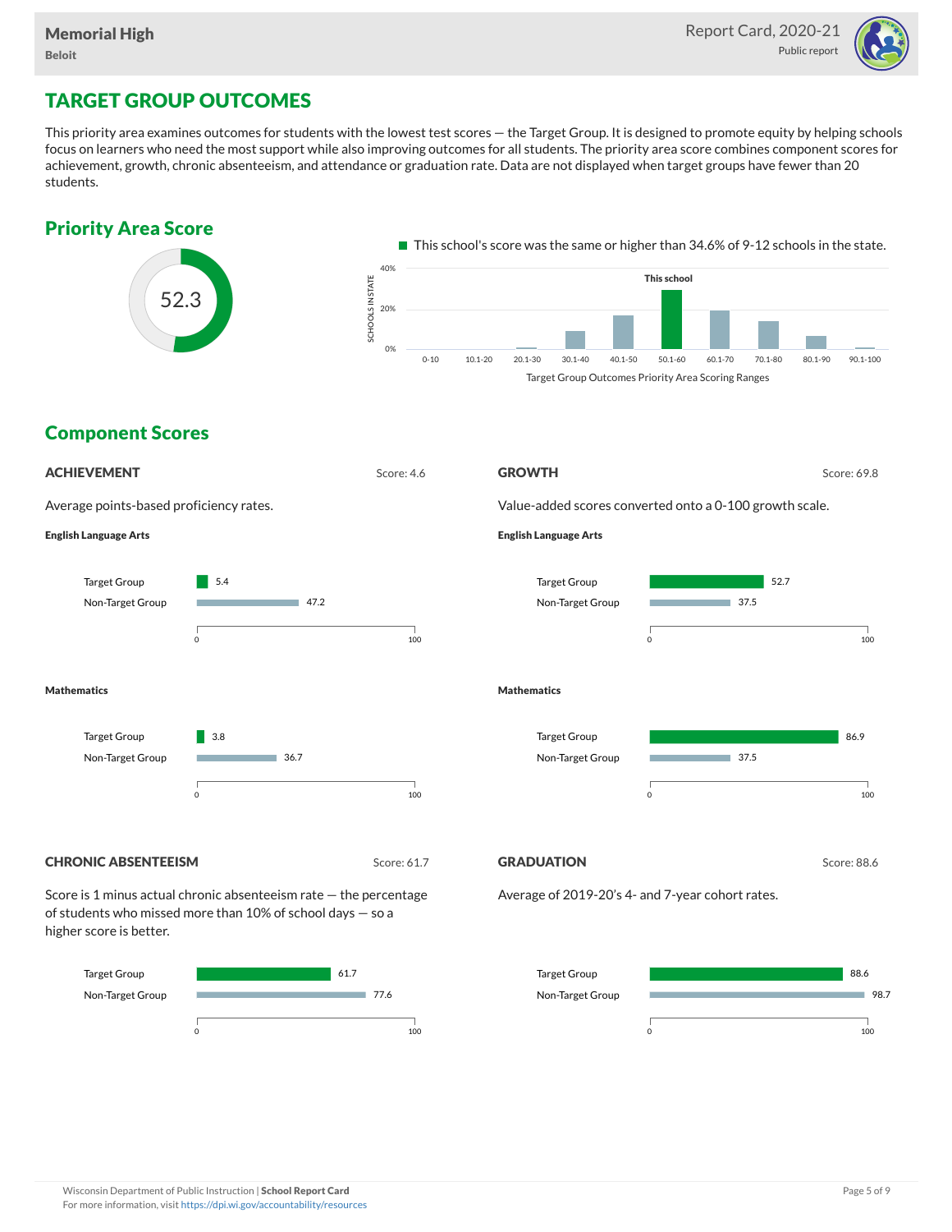

# TARGET GROUP OUTCOMES

This priority area examines outcomes for students with the lowest test scores — the Target Group. It is designed to promote equity by helping schools focus on learners who need the most support while also improving outcomes for all students. The priority area score combines component scores for achievement, growth, chronic absenteeism, and attendance or graduation rate. Data are not displayed when target groups have fewer than 20 students.



Non-Target Group



98.7

0 100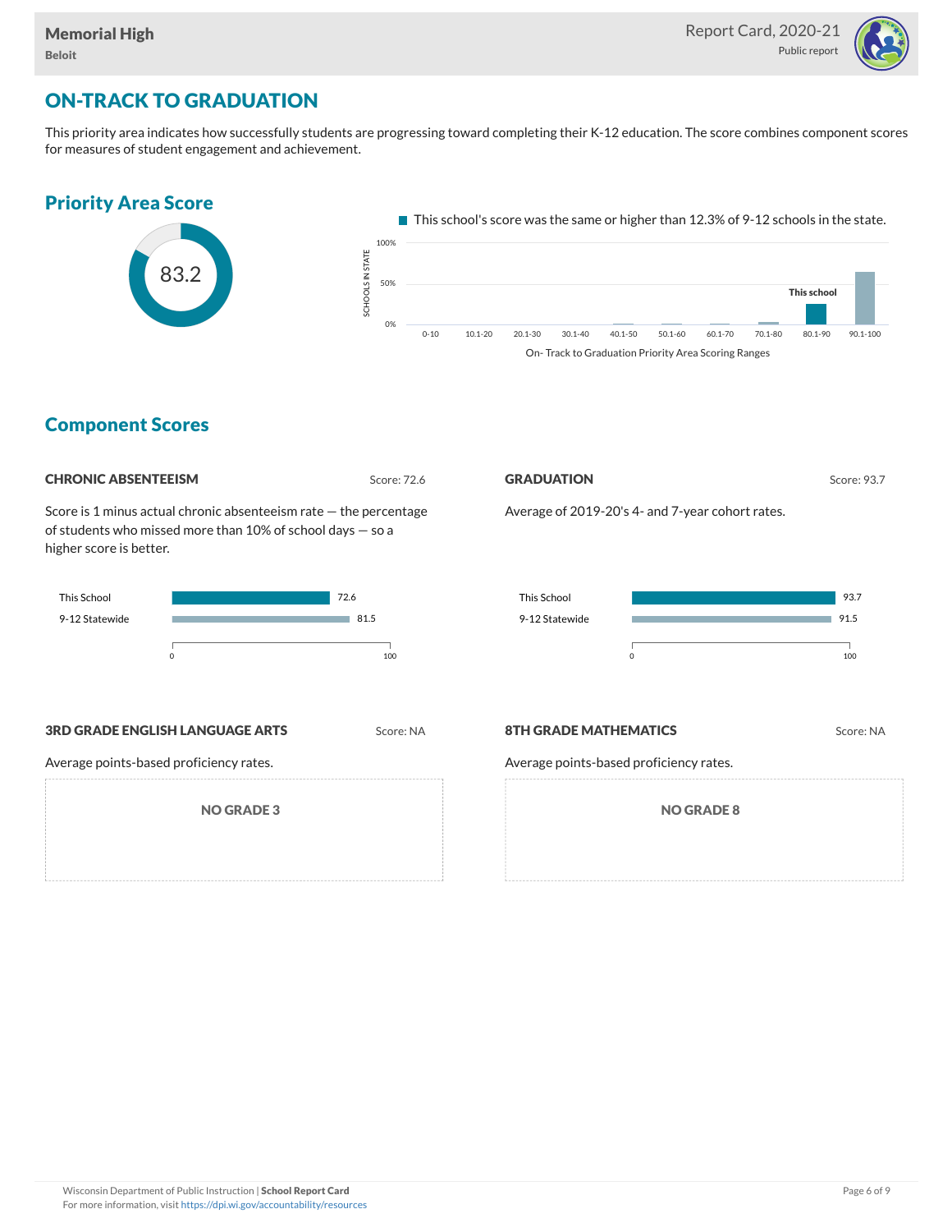

# ON-TRACK TO GRADUATION

This priority area indicates how successfully students are progressing toward completing their K-12 education. The score combines component scores for measures of student engagement and achievement.



### Component Scores

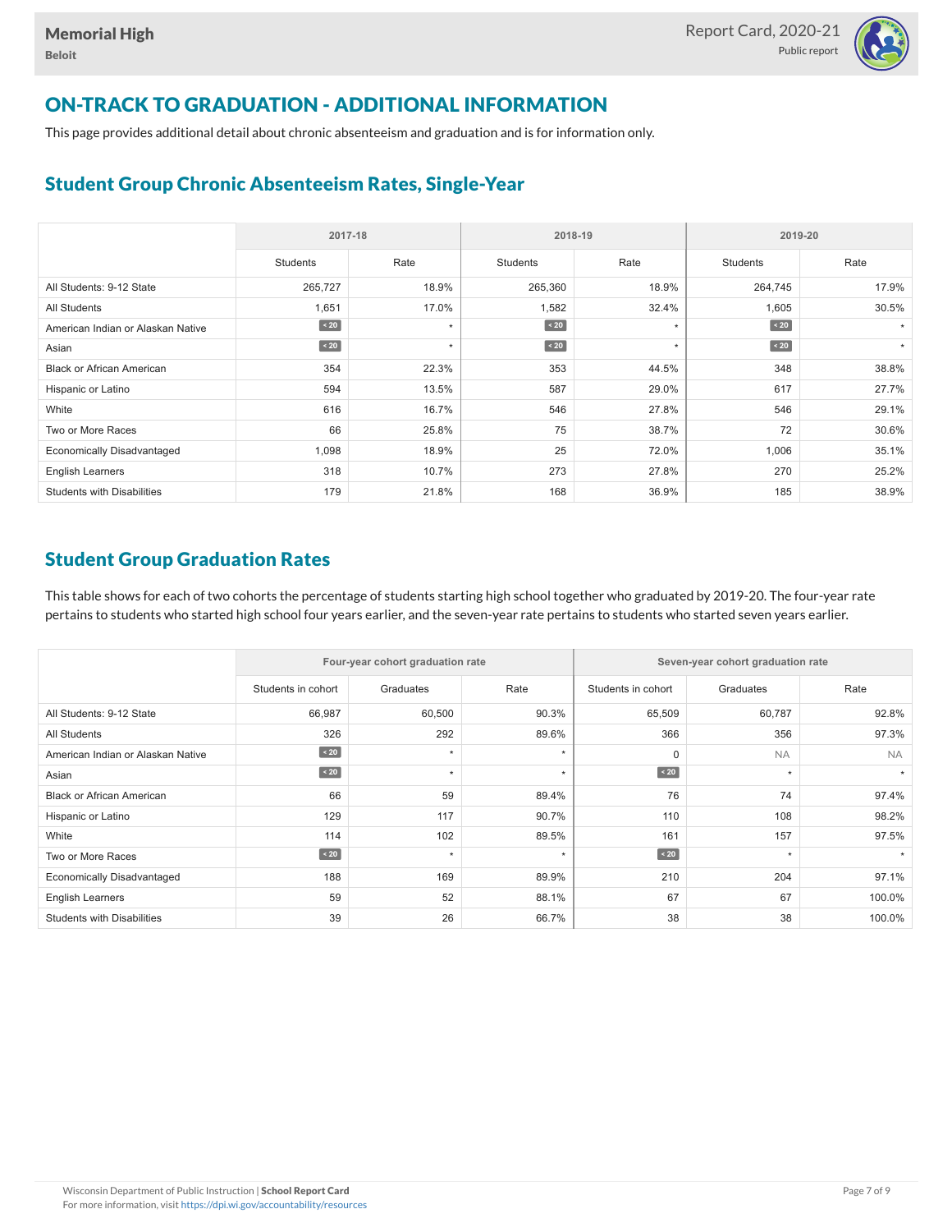

# ON-TRACK TO GRADUATION - ADDITIONAL INFORMATION

This page provides additional detail about chronic absenteeism and graduation and is for information only.

# Student Group Chronic Absenteeism Rates, Single-Year

|                                   | 2017-18     |         | 2018-19         |         | 2019-20         |         |  |
|-----------------------------------|-------------|---------|-----------------|---------|-----------------|---------|--|
|                                   | Students    | Rate    | <b>Students</b> | Rate    | <b>Students</b> | Rate    |  |
| All Students: 9-12 State          | 265,727     | 18.9%   | 265,360         | 18.9%   | 264,745         | 17.9%   |  |
| <b>All Students</b>               | 1,651       | 17.0%   | 1,582           | 32.4%   | 1,605           | 30.5%   |  |
| American Indian or Alaskan Native | $\sim 20$   | $\star$ | $\sim 20$       | $\star$ | $\sim 20$       |         |  |
| Asian                             | $\angle 20$ | $\star$ | $\sim 20$       | $\star$ | $\angle 20$     | $\star$ |  |
| <b>Black or African American</b>  | 354         | 22.3%   | 353             | 44.5%   | 348             | 38.8%   |  |
| Hispanic or Latino                | 594         | 13.5%   | 587             | 29.0%   | 617             | 27.7%   |  |
| White                             | 616         | 16.7%   | 546             | 27.8%   | 546             | 29.1%   |  |
| Two or More Races                 | 66          | 25.8%   | 75              | 38.7%   | 72              | 30.6%   |  |
| <b>Economically Disadvantaged</b> | 1,098       | 18.9%   | 25              | 72.0%   | 1,006           | 35.1%   |  |
| <b>English Learners</b>           | 318         | 10.7%   | 273             | 27.8%   | 270             | 25.2%   |  |
| <b>Students with Disabilities</b> | 179         | 21.8%   | 168             | 36.9%   | 185             | 38.9%   |  |

## Student Group Graduation Rates

This table shows for each of two cohorts the percentage of students starting high school together who graduated by 2019-20. The four-year rate pertains to students who started high school four years earlier, and the seven-year rate pertains to students who started seven years earlier.

|                                   |                    | Four-year cohort graduation rate |         | Seven-year cohort graduation rate |           |           |  |  |  |
|-----------------------------------|--------------------|----------------------------------|---------|-----------------------------------|-----------|-----------|--|--|--|
|                                   | Students in cohort | Graduates                        | Rate    | Students in cohort                | Graduates | Rate      |  |  |  |
| All Students: 9-12 State          | 66,987             | 60,500                           | 90.3%   | 65,509                            | 60,787    | 92.8%     |  |  |  |
| <b>All Students</b>               | 326                | 292                              | 89.6%   | 366                               | 356       | 97.3%     |  |  |  |
| American Indian or Alaskan Native | $\angle 20$        | $\star$                          | $\star$ | $\mathbf 0$                       | <b>NA</b> | <b>NA</b> |  |  |  |
| Asian                             | $\angle 20$        | $\star$                          | $\star$ | $\angle 20$                       | $\star$   |           |  |  |  |
| <b>Black or African American</b>  | 66                 | 59                               | 89.4%   | 76                                | 74        | 97.4%     |  |  |  |
| Hispanic or Latino                | 129                | 117                              | 90.7%   | 110                               | 108       | 98.2%     |  |  |  |
| White                             | 114                | 102                              | 89.5%   | 161                               | 157       | 97.5%     |  |  |  |
| Two or More Races                 | $\angle 20$        | $\star$                          | $\star$ | $\angle 20$                       | $\star$   |           |  |  |  |
| <b>Economically Disadvantaged</b> | 188                | 169                              | 89.9%   | 210                               | 204       | 97.1%     |  |  |  |
| <b>English Learners</b>           | 59                 | 52                               | 88.1%   | 67                                | 67        | 100.0%    |  |  |  |
| <b>Students with Disabilities</b> | 39                 | 26                               | 66.7%   | 38                                | 38        | 100.0%    |  |  |  |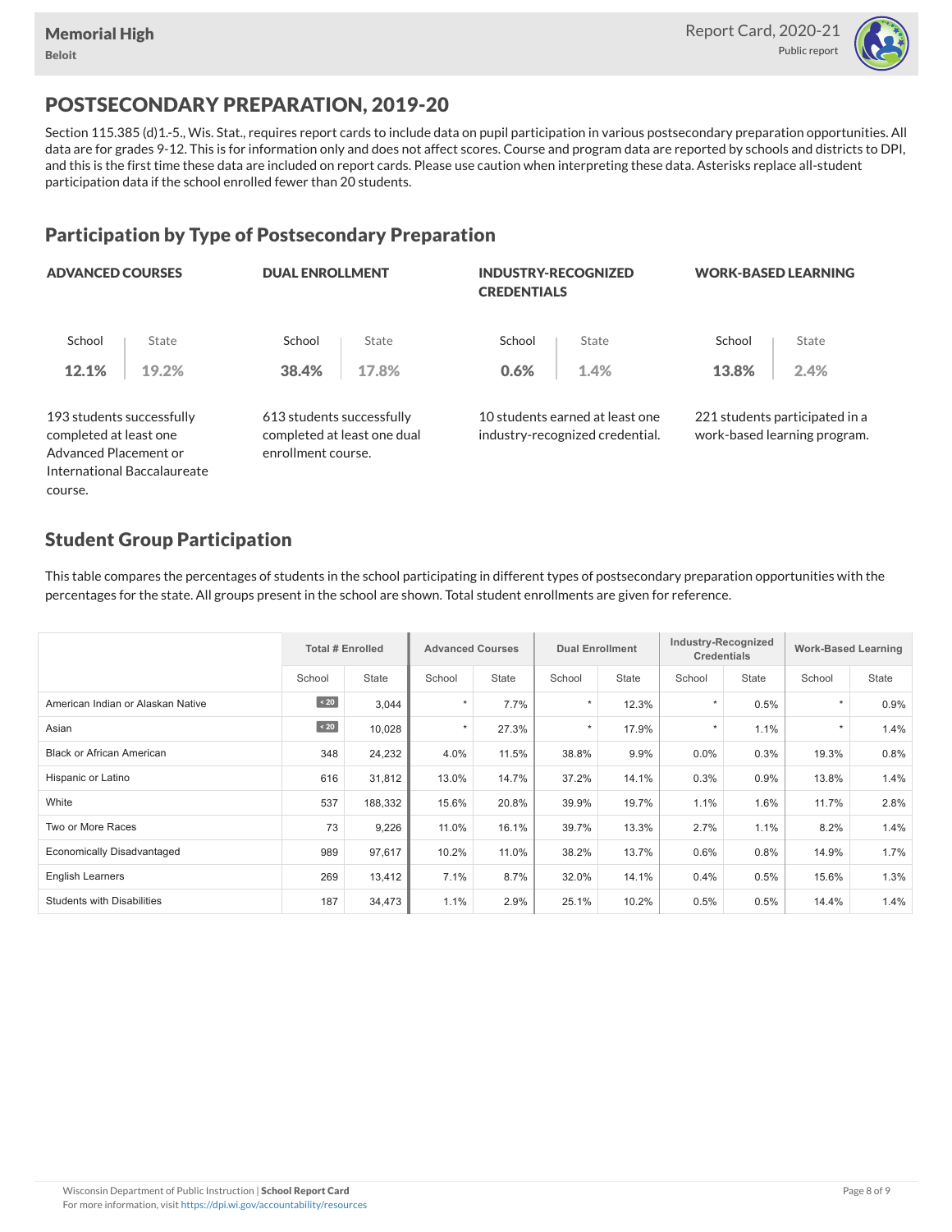

# POSTSECONDARY PREPARATION, 2019-20

Section 115.385 (d)1.-5., Wis. Stat., requires report cards to include data on pupil participation in various postsecondary preparation opportunities. All data are for grades 9-12. This is for information only and does not affect scores. Course and program data are reported by schools and districts to DPI, and this is the first time these data are included on report cards. Please use caution when interpreting these data. Asterisks replace all-student participation data if the school enrolled fewer than 20 students.

# Participation by Type of Postsecondary Preparation

| <b>ADVANCED COURSES</b>                                                      |                             | <b>DUAL ENROLLMENT</b>                                                         |       | <b>INDUSTRY-RECOGNIZED</b><br><b>CREDENTIALS</b> |                                                                    | <b>WORK-BASED LEARNING</b> |                                                                |  |
|------------------------------------------------------------------------------|-----------------------------|--------------------------------------------------------------------------------|-------|--------------------------------------------------|--------------------------------------------------------------------|----------------------------|----------------------------------------------------------------|--|
| School                                                                       | State                       | School                                                                         | State | School                                           | State                                                              | School                     | State                                                          |  |
| 12.1%                                                                        | 19.2%                       | 38.4%                                                                          | 17.8% | 0.6%                                             | 1.4%                                                               | 13.8%                      | 2.4%                                                           |  |
| 193 students successfully<br>completed at least one<br>Advanced Placement or |                             | 613 students successfully<br>completed at least one dual<br>enrollment course. |       |                                                  | 10 students earned at least one<br>industry-recognized credential. |                            | 221 students participated in a<br>work-based learning program. |  |
|                                                                              | International Baccalaureate |                                                                                |       |                                                  |                                                                    |                            |                                                                |  |

## Student Group Participation

course.

This table compares the percentages of students in the school participating in different types of postsecondary preparation opportunities with the percentages for the state. All groups present in the school are shown. Total student enrollments are given for reference.

|                                   | <b>Total # Enrolled</b> |              | <b>Advanced Courses</b> |              | <b>Dual Enrollment</b> |       | Industry-Recognized<br><b>Credentials</b> |              | <b>Work-Based Learning</b> |              |
|-----------------------------------|-------------------------|--------------|-------------------------|--------------|------------------------|-------|-------------------------------------------|--------------|----------------------------|--------------|
|                                   | School                  | <b>State</b> | School                  | <b>State</b> | School                 | State | School                                    | <b>State</b> | School                     | <b>State</b> |
| American Indian or Alaskan Native | $\sim 20$               | 3,044        | $\star$                 | 7.7%         | $\star$                | 12.3% |                                           | 0.5%         | $\star$                    | 0.9%         |
| Asian                             | $\left[ 420 \right]$    | 10,028       | $\star$                 | 27.3%        | $\star$                | 17.9% |                                           | 1.1%         | $\star$                    | 1.4%         |
| <b>Black or African American</b>  | 348                     | 24,232       | 4.0%                    | 11.5%        | 38.8%                  | 9.9%  | 0.0%                                      | 0.3%         | 19.3%                      | 0.8%         |
| Hispanic or Latino                | 616                     | 31,812       | 13.0%                   | 14.7%        | 37.2%                  | 14.1% | 0.3%                                      | 0.9%         | 13.8%                      | 1.4%         |
| White                             | 537                     | 188,332      | 15.6%                   | 20.8%        | 39.9%                  | 19.7% | 1.1%                                      | 1.6%         | 11.7%                      | 2.8%         |
| Two or More Races                 | 73                      | 9,226        | 11.0%                   | 16.1%        | 39.7%                  | 13.3% | 2.7%                                      | 1.1%         | 8.2%                       | 1.4%         |
| <b>Economically Disadvantaged</b> | 989                     | 97,617       | 10.2%                   | 11.0%        | 38.2%                  | 13.7% | 0.6%                                      | 0.8%         | 14.9%                      | 1.7%         |
| <b>English Learners</b>           | 269                     | 13,412       | 7.1%                    | 8.7%         | 32.0%                  | 14.1% | 0.4%                                      | 0.5%         | 15.6%                      | 1.3%         |
| <b>Students with Disabilities</b> | 187                     | 34,473       | 1.1%                    | 2.9%         | 25.1%                  | 10.2% | 0.5%                                      | 0.5%         | 14.4%                      | 1.4%         |